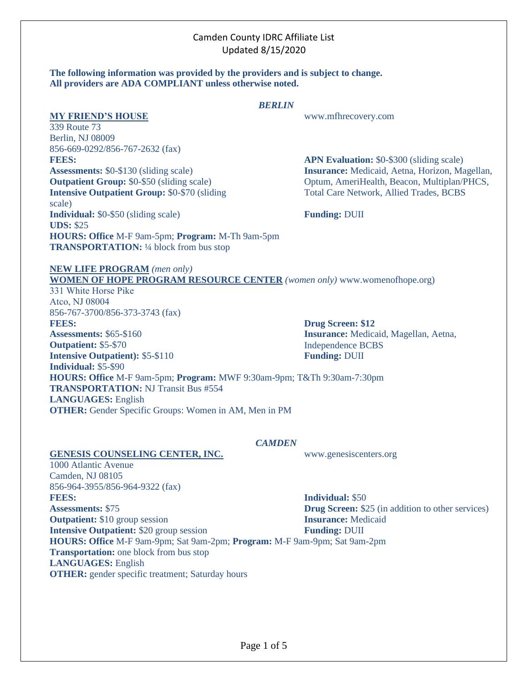# Camden County IDRC Affiliate List Updated 8/15/2020

#### **The following information was provided by the providers and is subject to change. All providers are ADA COMPLIANT unless otherwise noted.**

### *BERLIN*

**MY FRIEND'S HOUSE** www.mfhrecovery.com

339 Route 73 Berlin, NJ 08009 856-669-0292/856-767-2632 (fax) **FEES: Assessments:** \$0-\$130 (sliding scale) **Outpatient Group: \$0-\$50 (sliding scale) Intensive Outpatient Group:** \$0-\$70 (sliding scale) **Individual:** \$0-\$50 (sliding scale) **UDS:** \$25 **HOURS: Office** M-F 9am-5pm; **Program:** M-Th 9am-5pm **TRANSPORTATION:** ¼ block from bus stop

**APN Evaluation:** \$0-\$300 (sliding scale) **Insurance:** Medicaid, Aetna, Horizon, Magellan, Optum, AmeriHealth, Beacon, Multiplan/PHCS, Total Care Network, Allied Trades, BCBS

**Funding:** DUII

**Drug Screen: \$12**

Independence BCBS **Funding:** DUII

**Insurance:** Medicaid, Magellan, Aetna,

#### **NEW LIFE PROGRAM** *(men only)* **WOMEN OF HOPE PROGRAM RESOURCE CENTER** *(women only)* www.womenofhope.org)

331 White Horse Pike Atco, NJ 08004 856-767-3700/856-373-3743 (fax)

**FEES: Assessments:** \$65-\$160 **Outpatient:** \$5-\$70 **Intensive Outpatient):** \$5-\$110 **Individual:** \$5-\$90 **HOURS: Office** M-F 9am-5pm; **Program:** MWF 9:30am-9pm; T&Th 9:30am-7:30pm **TRANSPORTATION:** NJ Transit Bus #554 **LANGUAGES:** English

**OTHER:** Gender Specific Groups: Women in AM, Men in PM

## *CAMDEN*

**Individual:** \$50 **Drug Screen:** \$25 (in addition to other services) **Insurance:** Medicaid **Funding:** DUII **HOURS: Office** M-F 9am-9pm; Sat 9am-2pm; **Program:** M-F 9am-9pm; Sat 9am-2pm

## **GENESIS COUNSELING CENTER, INC.** www.genesiscenters.org

1000 Atlantic Avenue Camden, NJ 08105

**Assessments:** \$75

**FEES:** 

856-964-3955/856-964-9322 (fax)

**Outpatient:** \$10 group session

**LANGUAGES:** English

**Intensive Outpatient:** \$20 group session

**Transportation:** one block from bus stop

**OTHER:** gender specific treatment; Saturday hours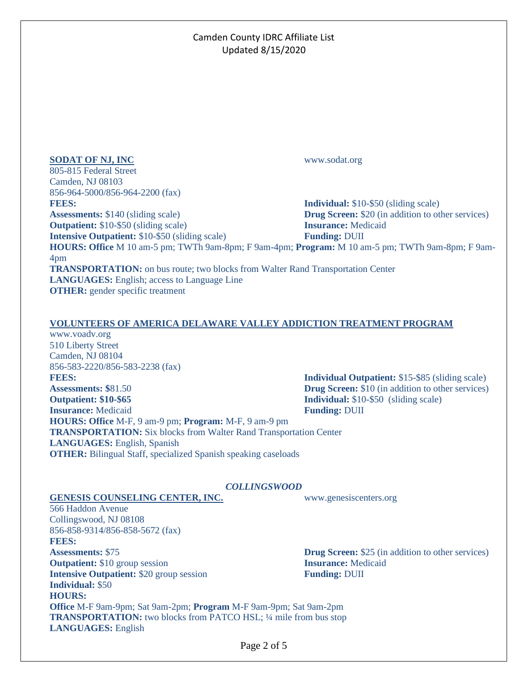# Camden County IDRC Affiliate List Updated 8/15/2020

### **SODAT OF NJ, INC** www.sodat.org

805-815 Federal Street Camden, NJ 08103 856-964-5000/856-964-2200 (fax) **FEES: Assessments:** \$140 (sliding scale)

**Outpatient:** \$10-\$50 (sliding scale)

**Intensive Outpatient:** \$10-\$50 (sliding scale)

**Individual:** \$10-\$50 (sliding scale) **Drug Screen:** \$20 (in addition to other services) **Insurance:** Medicaid **Funding:** DUII

**HOURS: Office** M 10 am-5 pm; TWTh 9am-8pm; F 9am-4pm; **Program:** M 10 am-5 pm; TWTh 9am-8pm; F 9am-4pm

**TRANSPORTATION:** on bus route; two blocks from Walter Rand Transportation Center **LANGUAGES:** English; access to Language Line **OTHER:** gender specific treatment

## **VOLUNTEERS OF AMERICA DELAWARE VALLEY ADDICTION TREATMENT PROGRAM**

www.voadv.org 510 Liberty Street Camden, NJ 08104 856-583-2220/856-583-2238 (fax) **FEES: Assessments: \$**81.50 **Outpatient: \$10-\$65 Insurance:** Medicaid **Funding:** DUII **HOURS: Office** M-F, 9 am-9 pm; **Program:** M-F, 9 am-9 pm **TRANSPORTATION:** Six blocks from Walter Rand Transportation Center **LANGUAGES:** English, Spanish **OTHER:** Bilingual Staff, specialized Spanish speaking caseloads

**Individual Outpatient:** \$15-\$85 (sliding scale) **Drug Screen:** \$10 (in addition to other services) **Individual:** \$10-\$50 (sliding scale)

### *COLLINGSWOOD*

### **GENESIS COUNSELING CENTER, INC.** www.genesiscenters.org

566 Haddon Avenue Collingswood, NJ 08108 856-858-9314/856-858-5672 (fax) **FEES: Assessments:** \$75 **Outpatient:** \$10 group session **Intensive Outpatient:** \$20 group session **Individual:** \$50 **HOURS: Office** M-F 9am-9pm; Sat 9am-2pm; **Program** M-F 9am-9pm; Sat 9am-2pm **TRANSPORTATION:** two blocks from PATCO HSL; ¼ mile from bus stop **LANGUAGES:** English

**Drug Screen:** \$25 (in addition to other services) **Insurance:** Medicaid **Funding:** DUII

Page 2 of 5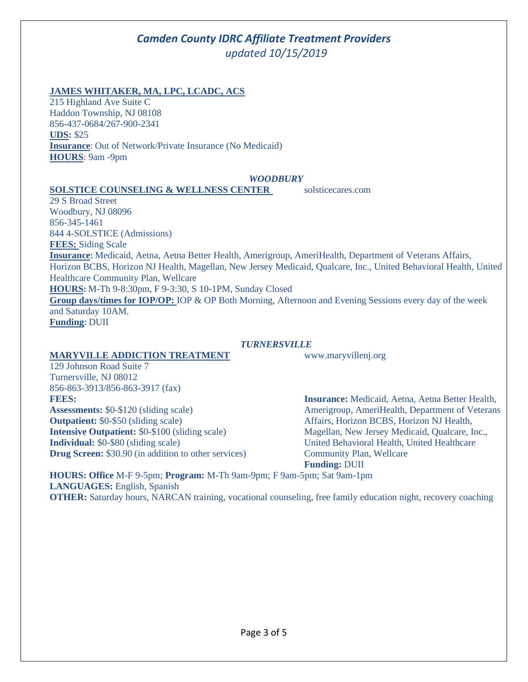# *Camden County IDRC Affiliate Treatment Providers updated 10/15/2019*

# **JAMES WHITAKER, MA, LPC, LCADC, ACS**

215 Highland Ave Suite C Haddon Township, NJ 08108 856-437-0684/267-900-2341 **UDS:** \$25 **Insurance**: Out of Network/Private Insurance (No Medicaid) **HOURS**: 9am -9pm

#### *WOODBURY*

#### **SOLSTICE COUNSELING & WELLNESS CENTER** solsticecares.com

29 S Broad Street Woodbury, NJ 08096 856-345-1461 844 4-SOLSTICE (Admissions) **FEES:** Siding Scale **Insurance:** Medicaid, Aetna, Aetna Better Health, Amerigroup, AmeriHealth, Department of Veterans Affairs, Horizon BCBS, Horizon NJ Health, Magellan, New Jersey Medicaid, Qualcare, Inc., United Behavioral Health, United Healthcare Community Plan, Wellcare **HOURS:** M-Th 9-8:30pm, F 9-3:30, S 10-1PM, Sunday Closed **Group days/times for IOP/OP:** IOP & OP Both Morning, Afternoon and Evening Sessions every day of the week and Saturday 10AM. **Funding:** DUII

### *TURNERSVILLE*

## **MARYVILLE ADDICTION TREATMENT** www.maryvillenj.org

129 Johnson Road Suite 7 Turnersville, NJ 08012 856-863-3913/856-863-3917 (fax) **FEES: Assessments:** \$0-\$120 (sliding scale) **Outpatient:** \$0-\$50 (sliding scale) **Intensive Outpatient:** \$0-\$100 (sliding scale) **Individual:** \$0-\$80 (sliding scale) **Drug Screen:** \$30.90 (in addition to other services)

**Insurance:** Medicaid, Aetna, Aetna Better Health, Amerigroup, AmeriHealth, Department of Veterans Affairs, Horizon BCBS, Horizon NJ Health, Magellan, New Jersey Medicaid, Qualcare, Inc., United Behavioral Health, United Healthcare Community Plan, Wellcare **Funding:** DUII

**HOURS: Office** M-F 9-5pm; **Program:** M-Th 9am-9pm; F 9am-5pm; Sat 9am-1pm **LANGUAGES:** English, Spanish **OTHER:** Saturday hours, NARCAN training, vocational counseling, free family education night, recovery coaching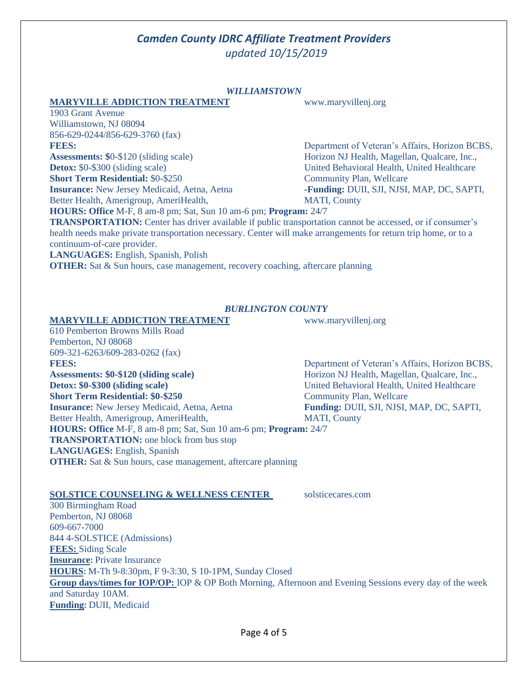# *Camden County IDRC Affiliate Treatment Providers updated 10/15/2019*

#### *WILLIAMSTOWN*

#### **MARYVILLE ADDICTION TREATMENT** www.maryvillenj.org

1903 Grant Avenue Williamstown, NJ 08094 856-629-0244/856-629-3760 (fax)

### **FEES:**

**Assessments: \$**0-\$120 (sliding scale) **Detox:** \$0-\$300 (sliding scale)

**Short Term Residential:** \$0-\$250

**Insurance:** New Jersey Medicaid, Aetna, Aetna Better Health, Amerigroup, AmeriHealth,

Department of Veteran's Affairs, Horizon BCBS, Horizon NJ Health, Magellan, Qualcare, Inc., United Behavioral Health, United Healthcare Community Plan, Wellcare **-Funding:** DUII, SJI, NJSI, MAP, DC, SAPTI, MATI, County

**HOURS: Office** M-F, 8 am-8 pm; Sat, Sun 10 am-6 pm; **Program:** 24/7

**TRANSPORTATION:** Center has driver available if public transportation cannot be accessed, or if consumer's health needs make private transportation necessary. Center will make arrangements for return trip home, or to a continuum-of-care provider.

**LANGUAGES:** English, Spanish, Polish

**OTHER:** Sat & Sun hours, case management, recovery coaching, aftercare planning

### *BURLINGTON COUNTY*

**MARYVILLE ADDICTION TREATMENT** www.maryvillenj.org

610 Pemberton Browns Mills Road Pemberton, NJ 08068 609-321-6263/609-283-0262 (fax) **FEES: Assessments: \$0-\$120 (sliding scale) Detox: \$0-\$300 (sliding scale) Short Term Residential: \$0-\$250 Insurance:** New Jersey Medicaid, Aetna, Aetna

Better Health, Amerigroup, AmeriHealth, **HOURS: Office** M-F, 8 am-8 pm; Sat, Sun 10 am-6 pm; **Program:** 24/7 **TRANSPORTATION:** one block from bus stop **LANGUAGES:** English, Spanish **OTHER:** Sat & Sun hours, case management, aftercare planning

### **SOLSTICE COUNSELING & WELLNESS CENTER** solsticecares.com

300 Birmingham Road Pemberton, NJ 08068 609-667-7000 844 4-SOLSTICE (Admissions) **FEES:** Siding Scale **Insurance:** Private Insurance **HOURS:** M-Th 9-8:30pm, F 9-3:30, S 10-1PM, Sunday Closed **Group days/times for IOP/OP:** IOP & OP Both Morning, Afternoon and Evening Sessions every day of the week and Saturday 10AM. **Funding:** DUII, Medicaid

Department of Veteran's Affairs, Horizon BCBS, Horizon NJ Health, Magellan, Qualcare, Inc., United Behavioral Health, United Healthcare Community Plan, Wellcare **Funding:** DUII, SJI, NJSI, MAP, DC, SAPTI, MATI, County